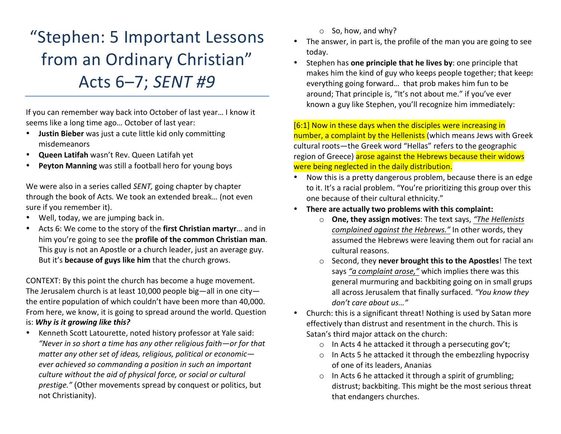# "Stephen: 5 Important Lessons from an Ordinary Christian" Acts 6–7; *SENT #9*

If you can remember way back into October of last year... I know it seems like a long time ago... October of last year:

- **Justin Bieber** was just a cute little kid only committing misdemeanors
- **Queen Latifah** wasn't Rev. Queen Latifah yet
- **Peyton Manning** was still a football hero for young boys

We were also in a series called *SENT*, going chapter by chapter through the book of Acts. We took an extended break... (not even sure if you remember it).

- Well, today, we are jumping back in.
- Acts 6: We come to the story of the first Christian martyr... and in him you're going to see the **profile of the common Christian man**. This guy is not an Apostle or a church leader, just an average guy. But it's **because of guys like him** that the church grows.

CONTEXT: By this point the church has become a huge movement. The Jerusalem church is at least 10,000 people big—all in one city the entire population of which couldn't have been more than 40,000. From here, we know, it is going to spread around the world. Question is: Why is it growing like this?

• Kenneth Scott Latourette, noted history professor at Yale said: "Never in so short a time has any other religious faith—or for that matter any other set of ideas, religious, political or economic*ever* achieved so commanding a position in such an important *culture* without the aid of physical force, or social or cultural *prestige."* (Other movements spread by conquest or politics, but not Christianity).

- $\circ$  So, how, and why?
- The answer, in part is, the profile of the man you are going to see today.
- Stephen has **one principle that he lives by**: one principle that makes him the kind of guy who keeps people together; that keeps everything going forward... that prob makes him fun to be around; That principle is, "It's not about me." if you've ever known a guy like Stephen, you'll recognize him immediately:

 $[6:1]$  Now in these days when the disciples were increasing in number, a complaint by the Hellenists (which means Jews with Greek cultural roots—the Greek word "Hellas" refers to the geographic region of Greece) arose against the Hebrews because their widows were being neglected in the daily distribution.

- Now this is a pretty dangerous problem, because there is an edge to it. It's a racial problem. "You're prioritizing this group over this one because of their cultural ethnicity."
- There are actually two problems with this complaint:
	- o **One, they assign motives**: The text says, "The Hellenists *complained against the Hebrews."* In other words, they assumed the Hebrews were leaving them out for racial and cultural reasons.
	- o Second, they **never brought this to the Apostles**! The text says "a complaint arose," which implies there was this general murmuring and backbiting going on in small grups all across Jerusalem that finally surfaced. "You know they don't care about us..."
- Church: this is a significant threat! Nothing is used by Satan more effectively than distrust and resentment in the church. This is Satan's third major attack on the church:
	- $\circ$  In Acts 4 he attacked it through a persecuting gov't;
	- $\circ$  In Acts 5 he attacked it through the embezzling hypocrisy of one of its leaders, Ananias
	- $\circ$  In Acts 6 he attacked it through a spirit of grumbling; distrust; backbiting. This might be the most serious threat that endangers churches.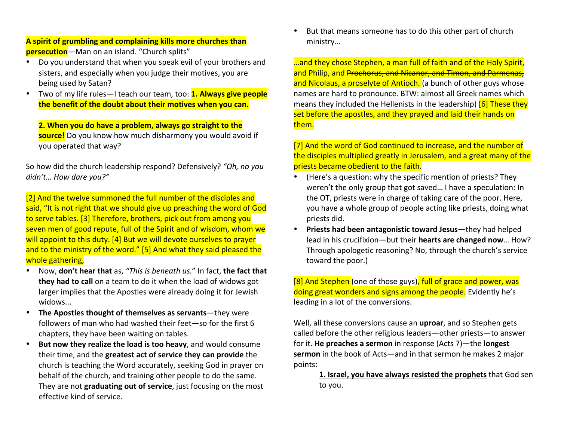**A** spirit of grumbling and complaining kills more churches than **persecution**—Man on an island. "Church splits"

- Do you understand that when you speak evil of your brothers and sisters, and especially when you judge their motives, you are being used by Satan?
- Two of my life rules—I teach our team, too: **1. Always give people the benefit of the doubt about their motives when you can.**

**2.** When you do have a problem, always go straight to the **source!** Do you know how much disharmony you would avoid if you operated that way?

So how did the church leadership respond? Defensively? "Oh, no you didn't... How dare you?"

[2] And the twelve summoned the full number of the disciples and said, "It is not right that we should give up preaching the word of God to serve tables. [3] Therefore, brothers, pick out from among you seven men of good repute, full of the Spirit and of wisdom, whom we will appoint to this duty. [4] But we will devote ourselves to prayer and to the ministry of the word." [5] And what they said pleased the whole gathering,

- Now, don't hear that as, "This is beneath us." In fact, the fact that **they had to call** on a team to do it when the load of widows got larger implies that the Apostles were already doing it for Jewish widows...
- The Apostles thought of themselves as servants—they were followers of man who had washed their feet—so for the first 6 chapters, they have been waiting on tables.
- But now they realize the load is too heavy, and would consume their time, and the greatest act of service they can provide the church is teaching the Word accurately, seeking God in prayer on behalf of the church, and training other people to do the same. They are not **graduating out of service**, just focusing on the most effective kind of service.

But that means someone has to do this other part of church ministry…

...and they chose Stephen, a man full of faith and of the Holy Spirit, and Philip, and Prochorus, and Nicanor, and Timon, and Parmenas, and Nicolaus, a proselyte of Antioch. (a bunch of other guys whose names are hard to pronounce. BTW: almost all Greek names which means they included the Hellenists in the leadership)  $\overline{6}$  These they set before the apostles, and they prayed and laid their hands on them.

[7] And the word of God continued to increase, and the number of the disciples multiplied greatly in Jerusalem, and a great many of the priests became obedient to the faith.

- (Here's a question: why the specific mention of priests? They weren't the only group that got saved... I have a speculation: In the OT, priests were in charge of taking care of the poor. Here, you have a whole group of people acting like priests, doing what priests did.
- **Priests had been antagonistic toward Jesus**—they had helped lead in his crucifixion—but their **hearts are changed now**... How? Through apologetic reasoning? No, through the church's service toward the poor.)

[8] And Stephen (one of those guys), full of grace and power, was doing great wonders and signs among the people. Evidently he's leading in a lot of the conversions.

Well, all these conversions cause an **uproar**, and so Stephen gets called before the other religious leaders—other priests—to answer for it. **He preaches a sermon** in response (Acts 7)—the **longest sermon** in the book of Acts—and in that sermon he makes 2 major points: 

**1.** Israel, you have always resisted the prophets that God sen to you.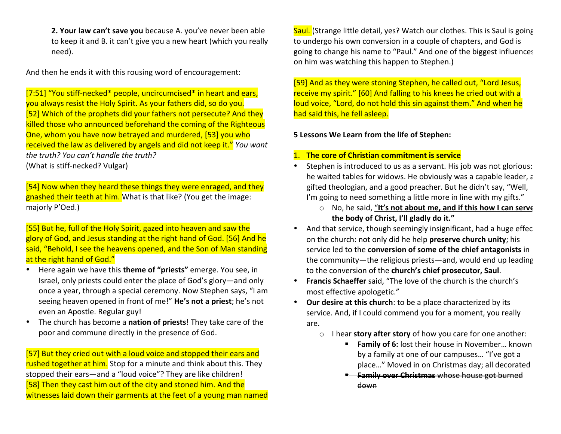**2. Your law can't save you** because A. you've never been able to keep it and B. it can't give you a new heart (which you really need). 

And then he ends it with this rousing word of encouragement:

[7:51] "You stiff-necked\* people, uncircumcised\* in heart and ears, you always resist the Holy Spirit. As your fathers did, so do you.  $[52]$  Which of the prophets did your fathers not persecute? And they killed those who announced beforehand the coming of the Righteous One, whom you have now betrayed and murdered, [53] you who received the law as delivered by angels and did not keep it." *You want* the truth? You can't handle the truth? (What is stiff-necked? Vulgar)

[54] Now when they heard these things they were enraged, and they gnashed their teeth at him. What is that like? (You get the image: majorly P'Oed.)

[55] But he, full of the Holy Spirit, gazed into heaven and saw the glory of God, and Jesus standing at the right hand of God. [56] And he said, "Behold, I see the heavens opened, and the Son of Man standing at the right hand of God."

- Here again we have this **theme of "priests"** emerge. You see, in Israel, only priests could enter the place of God's glory—and only once a year, through a special ceremony. Now Stephen says, "I am seeing heaven opened in front of me!" He's not a priest; he's not even an Apostle. Regular guy!
- The church has become a nation of priests! They take care of the poor and commune directly in the presence of God.

[57] But they cried out with a loud voice and stopped their ears and rushed together at him. Stop for a minute and think about this. They stopped their ears—and a "loud voice"? They are like children! [58] Then they cast him out of the city and stoned him. And the witnesses laid down their garments at the feet of a young man named Saul. (Strange little detail, yes? Watch our clothes. This is Saul is going to undergo his own conversion in a couple of chapters, and God is going to change his name to "Paul." And one of the biggest influences on him was watching this happen to Stephen.)

[59] And as they were stoning Stephen, he called out, "Lord Jesus, receive my spirit." [60] And falling to his knees he cried out with a loud voice, "Lord, do not hold this sin against them." And when he had said this, he fell asleep.

#### **5** Lessons We Learn from the life of Stephen:

## 1. The core of Christian commitment is service

- Stephen is introduced to us as a servant. His job was not glorious: he waited tables for widows. He obviously was a capable leader,  $\epsilon$ gifted theologian, and a good preacher. But he didn't say, "Well, I'm going to need something a little more in line with my gifts."
	- o No, he said, "It's not about me, and if this how I can serve the body of Christ, I'll gladly do it."
- And that service, though seemingly insignificant, had a huge effec on the church: not only did he help **preserve church unity**; his service led to the **conversion of some of the chief antagonists** in the community—the religious priests—and, would end up leading to the conversion of the church's chief prosecutor, Saul.
- Francis Schaeffer said, "The love of the church is the church's most effective apologetic."
- Our desire at this church: to be a place characterized by its service. And, if I could commend you for a moment, you really are.
	- o I hear **story after story** of how you care for one another:
		- **Family of 6:** lost their house in November... known by a family at one of our campuses... "I've got a place..." Moved in on Christmas day; all decorated
		- **E. Family over Christmas** whose house got burned down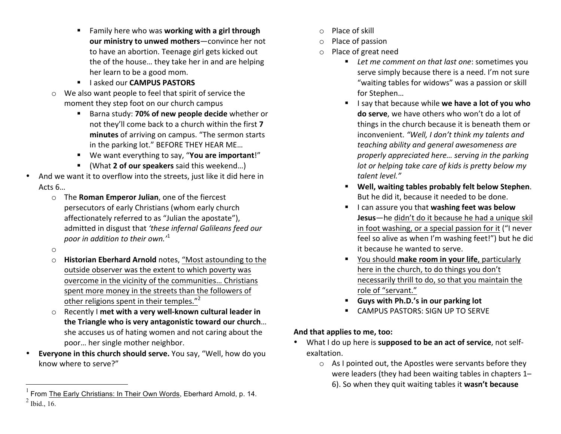- **EXECT:** Family here who was **working with a girl through our ministry to unwed mothers**—convince her not to have an abortion. Teenage girl gets kicked out the of the house... they take her in and are helping her learn to be a good mom.
- **E** lasked our **CAMPUS PASTORS**
- $\circ$  We also want people to feel that spirit of service the moment they step foot on our church campus
	- Barna study: **70% of new people decide** whether or not they'll come back to a church within the first **7** minutes of arriving on campus. "The sermon starts in the parking lot." BEFORE THEY HEAR ME...
	- We want everything to say, "You are important!"
	- (What 2 of our speakers said this weekend...)
- And we want it to overflow into the streets, just like it did here in Acts  $6...$ 
	- o The **Roman Emperor Julian**, one of the fiercest persecutors of early Christians (whom early church affectionately referred to as "Julian the apostate"), admitted in disgust that 'these infernal Galileans feed our *poor in addition to their own.*<sup>1</sup>
	- o
	- o **Historian Eberhard Arnold** notes, "Most astounding to the outside observer was the extent to which poverty was overcome in the vicinity of the communities... Christians spent more money in the streets than the followers of other religions spent in their temples."<sup>2</sup>
	- o Recently I met with a very well-known cultural leader in **the Triangle who is very antagonistic toward our church...** she accuses us of hating women and not caring about the poor... her single mother neighbor.
- **Everyone in this church should serve.** You say, "Well, how do you know where to serve?"
- $\circ$  Place of skill
- $\circ$  Place of passion
- $\circ$  Place of great need
	- Let me comment on that last one: sometimes you serve simply because there is a need. I'm not sure "waiting tables for widows" was a passion or skill for Stephen...
	- **E** I say that because while we have a lot of you who **do serve**, we have others who won't do a lot of things in the church because it is beneath them or inconvenient. "Well, I don't think my talents and *teaching ability and general awesomeness are properly appreciated here... serving in the parking lot or helping take care of kids is pretty below my talent level."*
	- **E** Well, waiting tables probably felt below Stephen. But he did it, because it needed to be done.
	- **I** I can assure you that washing feet was below **Jesus**—he didn't do it because he had a unique skil in foot washing, or a special passion for it ("I never feel so alive as when I'm washing feet!") but he did it because he wanted to serve.
	- **EXECT:** You should make room in your life, particularly here in the church, to do things you don't necessarily thrill to do, so that you maintain the role of "servant."
	- **E** Guys with Ph.D.'s in our parking lot
	- **EXECUTE: CAMPUS PASTORS: SIGN UP TO SERVE**

## And that applies to me, too:

- What I do up here is **supposed to be an act of service**, not selfexaltation.
	- $\circ$  As I pointed out, the Apostles were servants before they were leaders (they had been waiting tables in chapters  $1-$ 6). So when they quit waiting tables it wasn't because

 <sup>1</sup> From The Early Christians: In Their Own Words, Eberhard Arnold, p. 14.  $<sup>2</sup>$  Ibid., 16.</sup>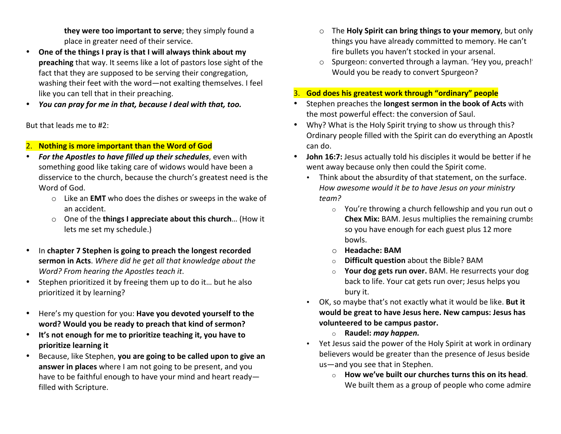**they were too important to serve**; they simply found a place in greater need of their service.

- One of the things I pray is that I will always think about my **preaching** that way. It seems like a lot of pastors lose sight of the fact that they are supposed to be serving their congregation, washing their feet with the word—not exalting themselves. I feel like you can tell that in their preaching.
- You can pray for me in that, because I deal with that, too.

But that leads me to #2:

## 2. Nothing is more important than the Word of God

- **For the Apostles to have filled up their schedules**, even with something good like taking care of widows would have been a disservice to the church, because the church's greatest need is the Word of God.
	- o Like an **EMT** who does the dishes or sweeps in the wake of an accident.
	- One of the **things I appreciate about this church**... (How it lets me set my schedule.)
- In chapter 7 Stephen is going to preach the longest recorded **sermon in Acts**. Where did he get all that knowledge about the *Word?* From hearing the Apostles teach it.
- Stephen prioritized it by freeing them up to do it... but he also prioritized it by learning?
- Here's my question for you: **Have you devoted yourself to the** word? Would you be ready to preach that kind of sermon?
- It's not enough for me to prioritize teaching it, you have to **prioritize learning it**
- Because, like Stephen, **you are going to be called upon to give an answer in places** where I am not going to be present, and you have to be faithful enough to have your mind and heart readyfilled with Scripture.
- o The **Holy Spirit can bring things to your memory**, but only things you have already committed to memory. He can't fire bullets you haven't stocked in your arsenal.
- o Spurgeon: converted through a layman. 'Hey you, preach!' Would you be ready to convert Spurgeon?
- 3. God does his greatest work through "ordinary" people
- Stephen preaches the **longest sermon in the book of Acts** with the most powerful effect: the conversion of Saul.
- Why? What is the Holy Spirit trying to show us through this? Ordinary people filled with the Spirit can do everything an Apostle can do.
- **John 16:7:** Jesus actually told his disciples it would be better if he went away because only then could the Spirit come.
	- Think about the absurdity of that statement, on the surface. How awesome would it be to have Jesus on your ministry *team?*
		- $\circ$  You're throwing a church fellowship and you run out o **Chex Mix:** BAM. Jesus multiplies the remaining crumbs so you have enough for each guest plus 12 more bowls.
		- o **Headache: BAM**
		- **Difficult question** about the Bible? BAM
		- o **Your dog gets run over.** BAM. He resurrects your dog back to life. Your cat gets run over; Jesus helps you bury it.
	- OK, so maybe that's not exactly what it would be like. But it would be great to have Jesus here. New campus: Jesus has volunteered to be campus pastor.
		- o **Raudel:** *may happen.*
	- Yet Jesus said the power of the Holy Spirit at work in ordinary believers would be greater than the presence of Jesus beside us—and you see that in Stephen.
		- o **How we've built our churches turns this on its head.** We built them as a group of people who come admire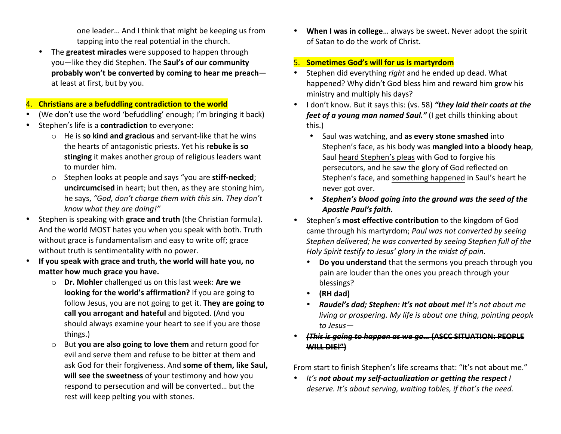one leader... And I think that might be keeping us from tapping into the real potential in the church.

The **greatest miracles** were supposed to happen through you-like they did Stephen. The Saul's of our community probably won't be converted by coming to hear me preachat least at first, but by you.

#### 4. Christians are a befuddling contradiction to the world

- (We don't use the word 'befuddling' enough; I'm bringing it back)
- Stephen's life is a **contradiction** to everyone:
	- o He is **so kind and gracious** and servant-like that he wins the hearts of antagonistic priests. Yet his rebuke is so **stinging** it makes another group of religious leaders want to murder him.
	- o Stephen looks at people and says "you are **stiff-necked**; **uncircumcised** in heart; but then, as they are stoning him, he says, "God, don't charge them with this sin. They don't *know what they are doing!"*
- Stephen is speaking with grace and truth (the Christian formula). And the world MOST hates you when you speak with both. Truth without grace is fundamentalism and easy to write off; grace without truth is sentimentality with no power.
- If you speak with grace and truth, the world will hate you, no matter how much grace you have.
	- o **Dr. Mohler** challenged us on this last week: **Are we looking for the world's affirmation?** If you are going to follow Jesus, you are not going to get it. They are going to **call you arrogant and hateful** and bigoted. (And you should always examine your heart to see if you are those things.)
	- o But **you are also going to love them** and return good for evil and serve them and refuse to be bitter at them and ask God for their forgiveness. And **some of them, like Saul,** will see the sweetness of your testimony and how you respond to persecution and will be converted... but the rest will keep pelting you with stones.

**When I was in college...** always be sweet. Never adopt the spirit of Satan to do the work of Christ.

## **5.** Sometimes God's will for us is martyrdom

- Stephen did everything *right* and he ended up dead. What happened? Why didn't God bless him and reward him grow his ministry and multiply his days?
- I don't know. But it says this: (vs. 58) "they laid their coats at the *feet of a young man named Saul."* (I get chills thinking about this.)
	- Saul was watching, and as every stone smashed into Stephen's face, as his body was **mangled into a bloody heap**, Saul heard Stephen's pleas with God to forgive his persecutors, and he saw the glory of God reflected on Stephen's face, and something happened in Saul's heart he never got over.
	- Stephen's blood going into the ground was the seed of the *Apostle Paul's faith.*
- Stephen's **most effective contribution** to the kingdom of God came through his martyrdom; Paul was not converted by seeing Stephen delivered; he was converted by seeing Stephen full of the *Holy Spirit testify to Jesus' glory in the midst of pain.* 
	- Do you understand that the sermons you preach through you pain are louder than the ones you preach through your blessings?
	- **(RH dad)**
	- **Raudel's dad; Stephen: It's not about me!** It's not about me *living or prospering. My life is about one thing, pointing people to Jesus—*

## **<u>• (This is going to happen as we go... (ASCC SITUATION: PEOPLE</u> WILL DIE!")**

From start to finish Stephen's life screams that: "It's not about me."

• It's not about my self-actualization or getting the respect *I deserve.* It's about serving, waiting tables, if that's the need.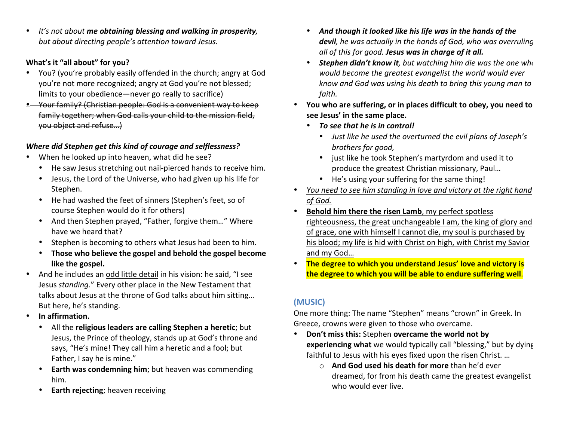• It's not about me obtaining blessing and walking in prosperity, but about directing people's attention toward Jesus.

## **What's it "all about" for you?**

- You? (you're probably easily offended in the church; angry at God you're not more recognized; angry at God you're not blessed; limits to your obedience—never go really to sacrifice)
- **•** Your family? (Christian people: God is a convenient way to keep family together; when God calls your child to the mission field, you object and refuse…)

## *Where did Stephen get this kind of courage and selflessness?*

- When he looked up into heaven, what did he see?
	- He saw Jesus stretching out nail-pierced hands to receive him.
	- Jesus, the Lord of the Universe, who had given up his life for Stephen.
	- He had washed the feet of sinners (Stephen's feet, so of course Stephen would do it for others)
	- And then Stephen prayed, "Father, forgive them..." Where have we heard that?
	- Stephen is becoming to others what Jesus had been to him.
	- Those who believe the gospel and behold the gospel become like the gospel.
- And he includes an odd little detail in his vision: he said, "I see Jesus *standing*." Every other place in the New Testament that talks about Jesus at the throne of God talks about him sitting... But here, he's standing.
- In affirmation.
	- All the religious leaders are calling Stephen a heretic; but Jesus, the Prince of theology, stands up at God's throne and says, "He's mine! They call him a heretic and a fool; but Father, I say he is mine."
	- **Earth was condemning him**; but heaven was commending him.
	- **Earth rejecting**; heaven receiving
- And though it looked like his life was in the hands of the *devil, he was actually in the hands of God, who was overruling all* of this for good. **Jesus** was in charge of it all.
- **Stephen didn't know it**, but watching him die was the one when would become the greatest evangelist the world would ever *know and God was using his death to bring this young man to faith.*
- \* You who are suffering, or in places difficult to obev, you need to see Jesus' in the same place.
	- To see that he is in control!
		- Just like he used the overturned the evil plans of Joseph's brothers for good,
		- just like he took Stephen's martyrdom and used it to produce the greatest Christian missionary, Paul...
		- He's using your suffering for the same thing!
- *You need to see him standing in love and victory at the right hand of God.*
- Behold him there the risen Lamb, my perfect spotless righteousness, the great unchangeable I am, the king of glory and of grace, one with himself I cannot die, my soul is purchased by his blood; my life is hid with Christ on high, with Christ my Savior and my God...
- The degree to which you understand Jesus' love and victory is the degree to which you will be able to endure suffering well.

## **(MUSIC)**

One more thing: The name "Stephen" means "crown" in Greek. In Greece, crowns were given to those who overcame.

- Don't miss this: Stephen overcame the world not by **experiencing what** we would typically call "blessing," but by dying faithful to Jesus with his eyes fixed upon the risen Christ. ...
	- o **And God used his death for more** than he'd ever dreamed, for from his death came the greatest evangelist who would ever live.